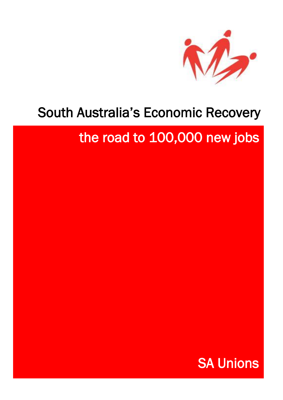

# South Australia's Economic Recovery

# the road to 100,000 new jobs

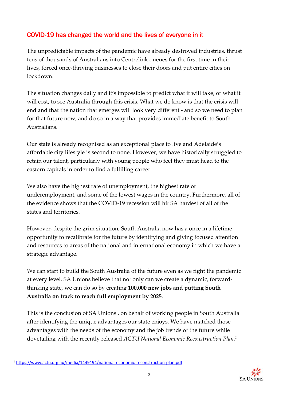## COVID-19 has changed the world and the lives of everyone in it

The unpredictable impacts of the pandemic have already destroyed industries, thrust tens of thousands of Australians into Centrelink queues for the first time in their lives, forced once-thriving businesses to close their doors and put entire cities on lockdown.

The situation changes daily and it**'**s impossible to predict what it will take, or what it will cost, to see Australia through this crisis. What we do know is that the crisis will end and that the nation that emerges will look very different - and so we need to plan for that future now, and do so in a way that provides immediate benefit to South Australians.

Our state is already recognised as an exceptional place to live and Adelaide**'**s affordable city lifestyle is second to none. However, we have historically struggled to retain our talent, particularly with young people who feel they must head to the eastern capitals in order to find a fulfilling career.

We also have the highest rate of unemployment, the highest rate of underemployment, and some of the lowest wages in the country. Furthermore, all of the evidence shows that the COVID-19 recession will hit SA hardest of all of the states and territories.

However, despite the grim situation, South Australia now has a once in a lifetime opportunity to recalibrate for the future by identifying and giving focused attention and resources to areas of the national and international economy in which we have a strategic advantage.

We can start to build the South Australia of the future even as we fight the pandemic at every level. SA Unions believe that not only can we create a dynamic, forwardthinking state, we can do so by creating **100,000 new jobs and putting South Australia on track to reach full employment by 2025**.

This is the conclusion of SA Unions , on behalf of working people in South Australia after identifying the unique advantages our state enjoys. We have matched those advantages with the needs of the economy and the job trends of the future while dovetailing with the recently released *ACTU National Economic Reconstruction Plan.<sup>1</sup>*



<sup>1</sup> <https://www.actu.org.au/media/1449194/national-economic-reconstruction-plan.pdf>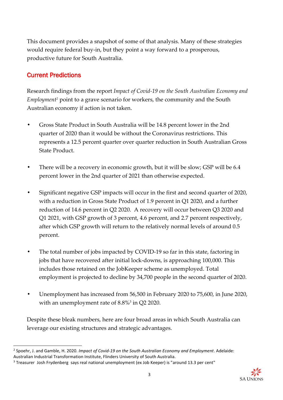This document provides a snapshot of some of that analysis. Many of these strategies would require federal buy-in, but they point a way forward to a prosperous, productive future for South Australia.

## Current Predictions

Research findings from the report *Impact of Covid-19 on the South Australian Economy and Employment<sup>2</sup>* point to a grave scenario for workers, the community and the South Australian economy if action is not taken.

- **•** Gross State Product in South Australia will be 14.8 percent lower in the 2nd quarter of 2020 than it would be without the Coronavirus restrictions. This represents a 12.5 percent quarter over quarter reduction in South Australian Gross State Product.
- There will be a recovery in economic growth, but it will be slow; GSP will be 6.4 percent lower in the 2nd quarter of 2021 than otherwise expected.
- **•** Significant negative GSP impacts will occur in the first and second quarter of 2020, with a reduction in Gross State Product of 1.9 percent in Q1 2020, and a further reduction of 14.6 percent in Q2 2020. A recovery will occur between Q3 2020 and Q1 2021, with GSP growth of 3 percent, 4.6 percent, and 2.7 percent respectively, after which GSP growth will return to the relatively normal levels of around 0.5 percent.
- **•** The total number of jobs impacted by COVID-19 so far in this state, factoring in jobs that have recovered after initial lock-downs, is approaching 100,000. This includes those retained on the JobKeeper scheme as unemployed. Total employment is projected to decline by 34,700 people in the second quarter of 2020.
- **•** Unemployment has increased from 56,500 in February 2020 to 75,600, in June 2020, with an unemployment rate of 8.8%<sup>3</sup> in Q2 2020.

Despite these bleak numbers, here are four broad areas in which South Australia can leverage our existing structures and strategic advantages.



<sup>2</sup> Spoehr, J. and Gamble, H. 2020. *Impact of Covid-19 on the South Australian Economy and Employment*. Adelaide: Australian Industrial Transformation Institute, Flinders University of South Australia.

<sup>3</sup> Treasurer Josh Frydenberg says real national unemployment (ex Job Keeper) is "around 13.3 per cent"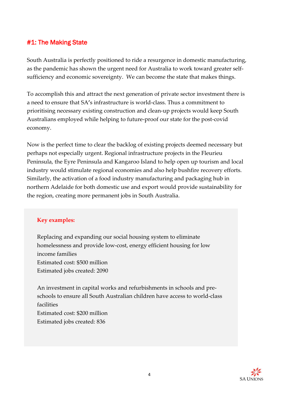## #1: The Making State

South Australia is perfectly positioned to ride a resurgence in domestic manufacturing, as the pandemic has shown the urgent need for Australia to work toward greater selfsufficiency and economic sovereignty. We can become the state that makes things.

To accomplish this and attract the next generation of private sector investment there is a need to ensure that SA**'**s infrastructure is world-class. Thus a commitment to prioritising necessary existing construction and clean-up projects would keep South Australians employed while helping to future-proof our state for the post-covid economy.

Now is the perfect time to clear the backlog of existing projects deemed necessary but perhaps not especially urgent. Regional infrastructure projects in the Fleurieu Peninsula, the Eyre Peninsula and Kangaroo Island to help open up tourism and local industry would stimulate regional economies and also help bushfire recovery efforts. Similarly, the activation of a food industry manufacturing and packaging hub in northern Adelaide for both domestic use and export would provide sustainability for the region, creating more permanent jobs in South Australia.

#### **Key examples:**

Replacing and expanding our social housing system to eliminate homelessness and provide low-cost, energy efficient housing for low income families Estimated cost: \$500 million Estimated jobs created: 2090

An investment in capital works and refurbishments in schools and preschools to ensure all South Australian children have access to world-class facilities Estimated cost: \$200 million Estimated jobs created: 836

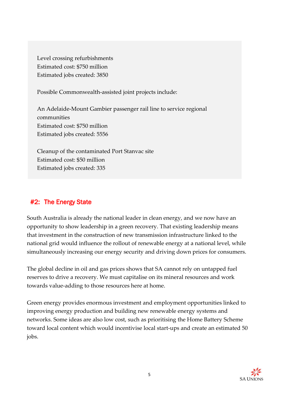Level crossing refurbishments Estimated cost: \$750 million Estimated jobs created: 3850

Possible Commonwealth-assisted joint projects include:

An Adelaide-Mount Gambier passenger rail line to service regional communities Estimated cost: \$750 million Estimated jobs created: 5556

Cleanup of the contaminated Port Stanvac site Estimated cost: \$50 million Estimated jobs created: 335

# #2: The Energy State

South Australia is already the national leader in clean energy, and we now have an opportunity to show leadership in a green recovery. That existing leadership means that investment in the construction of new transmission infrastructure linked to the national grid would influence the rollout of renewable energy at a national level, while simultaneously increasing our energy security and driving down prices for consumers.

The global decline in oil and gas prices shows that SA cannot rely on untapped fuel reserves to drive a recovery. We must capitalise on its mineral resources and work towards value-adding to those resources here at home.

Green energy provides enormous investment and employment opportunities linked to improving energy production and building new renewable energy systems and networks. Some ideas are also low cost, such as prioritising the Home Battery Scheme toward local content which would incentivise local start-ups and create an estimated 50 jobs.

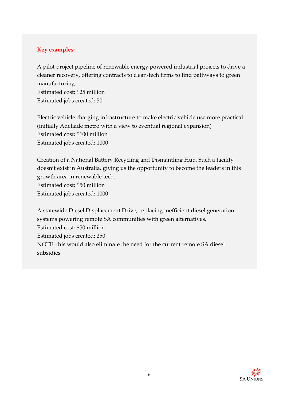#### **Key examples:**

A pilot project pipeline of renewable energy powered industrial projects to drive a cleaner recovery, offering contracts to clean-tech firms to find pathways to green manufacturing.

Estimated cost: \$25 million Estimated jobs created: 50

Electric vehicle charging infrastructure to make electric vehicle use more practical (initially Adelaide metro with a view to eventual regional expansion) Estimated cost: \$100 million Estimated jobs created: 1000

Creation of a National Battery Recycling and Dismantling Hub. Such a facility doesn**'**t exist in Australia, giving us the opportunity to become the leaders in this growth area in renewable tech. Estimated cost: \$50 million Estimated jobs created: 1000

A statewide Diesel Displacement Drive, replacing inefficient diesel generation systems powering remote SA communities with green alternatives. Estimated cost: \$50 million Estimated jobs created: 250 NOTE: this would also eliminate the need for the current remote SA diesel subsidies

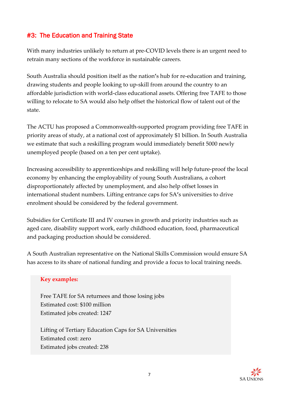## #3: The Education and Training State

With many industries unlikely to return at pre-COVID levels there is an urgent need to retrain many sections of the workforce in sustainable careers.

South Australia should position itself as the nation**'**s hub for re-education and training, drawing students and people looking to up-skill from around the country to an affordable jurisdiction with world-class educational assets. Offering free TAFE to those willing to relocate to SA would also help offset the historical flow of talent out of the state.

The ACTU has proposed a Commonwealth-supported program providing free TAFE in priority areas of study, at a national cost of approximately \$1 billion. In South Australia we estimate that such a reskilling program would immediately benefit 5000 newly unemployed people (based on a ten per cent uptake).

Increasing accessibility to apprenticeships and reskilling will help future-proof the local economy by enhancing the employability of young South Australians, a cohort disproportionately affected by unemployment, and also help offset losses in international student numbers. Lifting entrance caps for SA**'**s universities to drive enrolment should be considered by the federal government.

Subsidies for Certificate III and IV courses in growth and priority industries such as aged care, disability support work, early childhood education, food, pharmaceutical and packaging production should be considered.

A South Australian representative on the National Skills Commission would ensure SA has access to its share of national funding and provide a focus to local training needs.

#### **Key examples:**

Free TAFE for SA returnees and those losing jobs Estimated cost: \$100 million Estimated jobs created: 1247

Lifting of Tertiary Education Caps for SA Universities Estimated cost: zero Estimated jobs created: 238